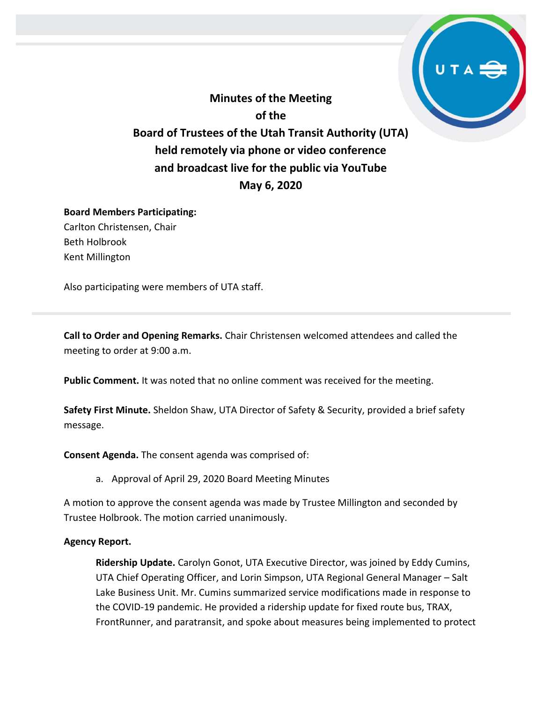**Minutes of the Meeting of the Board of Trustees of the Utah Transit Authority (UTA) held remotely via phone or video conference and broadcast live for the public via YouTube May 6, 2020**

# **Board Members Participating:** Carlton Christensen, Chair Beth Holbrook

Kent Millington

Also participating were members of UTA staff.

**Call to Order and Opening Remarks.** Chair Christensen welcomed attendees and called the meeting to order at 9:00 a.m.

**Public Comment.** It was noted that no online comment was received for the meeting.

**Safety First Minute.** Sheldon Shaw, UTA Director of Safety & Security, provided a brief safety message.

**Consent Agenda.** The consent agenda was comprised of:

a. Approval of April 29, 2020 Board Meeting Minutes

A motion to approve the consent agenda was made by Trustee Millington and seconded by Trustee Holbrook. The motion carried unanimously.

### **Agency Report.**

**Ridership Update.** Carolyn Gonot, UTA Executive Director, was joined by Eddy Cumins, UTA Chief Operating Officer, and Lorin Simpson, UTA Regional General Manager – Salt Lake Business Unit. Mr. Cumins summarized service modifications made in response to the COVID-19 pandemic. He provided a ridership update for fixed route bus, TRAX, FrontRunner, and paratransit, and spoke about measures being implemented to protect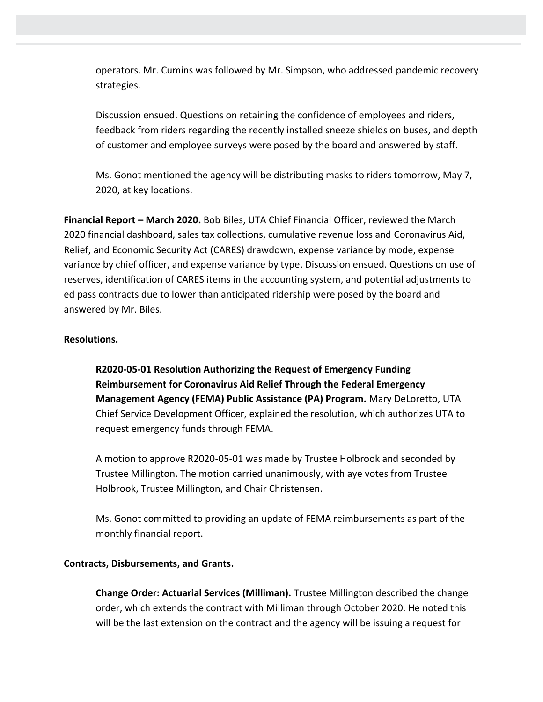operators. Mr. Cumins was followed by Mr. Simpson, who addressed pandemic recovery strategies.

Discussion ensued. Questions on retaining the confidence of employees and riders, feedback from riders regarding the recently installed sneeze shields on buses, and depth of customer and employee surveys were posed by the board and answered by staff.

Ms. Gonot mentioned the agency will be distributing masks to riders tomorrow, May 7, 2020, at key locations.

**Financial Report – March 2020.** Bob Biles, UTA Chief Financial Officer, reviewed the March 2020 financial dashboard, sales tax collections, cumulative revenue loss and Coronavirus Aid, Relief, and Economic Security Act (CARES) drawdown, expense variance by mode, expense variance by chief officer, and expense variance by type. Discussion ensued. Questions on use of reserves, identification of CARES items in the accounting system, and potential adjustments to ed pass contracts due to lower than anticipated ridership were posed by the board and answered by Mr. Biles.

### **Resolutions.**

**R2020-05-01 Resolution Authorizing the Request of Emergency Funding Reimbursement for Coronavirus Aid Relief Through the Federal Emergency Management Agency (FEMA) Public Assistance (PA) Program.** Mary DeLoretto, UTA Chief Service Development Officer, explained the resolution, which authorizes UTA to request emergency funds through FEMA.

A motion to approve R2020-05-01 was made by Trustee Holbrook and seconded by Trustee Millington. The motion carried unanimously, with aye votes from Trustee Holbrook, Trustee Millington, and Chair Christensen.

Ms. Gonot committed to providing an update of FEMA reimbursements as part of the monthly financial report.

#### **Contracts, Disbursements, and Grants.**

**Change Order: Actuarial Services (Milliman).** Trustee Millington described the change order, which extends the contract with Milliman through October 2020. He noted this will be the last extension on the contract and the agency will be issuing a request for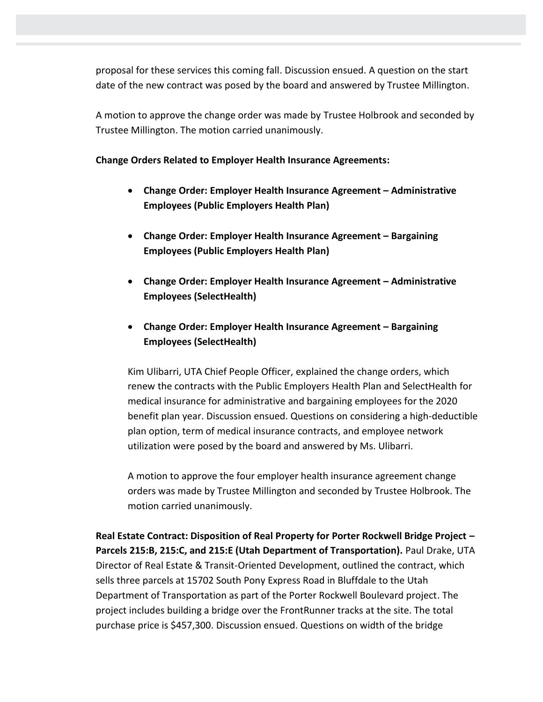proposal for these services this coming fall. Discussion ensued. A question on the start date of the new contract was posed by the board and answered by Trustee Millington.

A motion to approve the change order was made by Trustee Holbrook and seconded by Trustee Millington. The motion carried unanimously.

## **Change Orders Related to Employer Health Insurance Agreements:**

- **Change Order: Employer Health Insurance Agreement – Administrative Employees (Public Employers Health Plan)**
- **Change Order: Employer Health Insurance Agreement – Bargaining Employees (Public Employers Health Plan)**
- **Change Order: Employer Health Insurance Agreement – Administrative Employees (SelectHealth)**
- **Change Order: Employer Health Insurance Agreement – Bargaining Employees (SelectHealth)**

Kim Ulibarri, UTA Chief People Officer, explained the change orders, which renew the contracts with the Public Employers Health Plan and SelectHealth for medical insurance for administrative and bargaining employees for the 2020 benefit plan year. Discussion ensued. Questions on considering a high-deductible plan option, term of medical insurance contracts, and employee network utilization were posed by the board and answered by Ms. Ulibarri.

A motion to approve the four employer health insurance agreement change orders was made by Trustee Millington and seconded by Trustee Holbrook. The motion carried unanimously.

**Real Estate Contract: Disposition of Real Property for Porter Rockwell Bridge Project – Parcels 215:B, 215:C, and 215:E (Utah Department of Transportation).** Paul Drake, UTA Director of Real Estate & Transit-Oriented Development, outlined the contract, which sells three parcels at 15702 South Pony Express Road in Bluffdale to the Utah Department of Transportation as part of the Porter Rockwell Boulevard project. The project includes building a bridge over the FrontRunner tracks at the site. The total purchase price is \$457,300. Discussion ensued. Questions on width of the bridge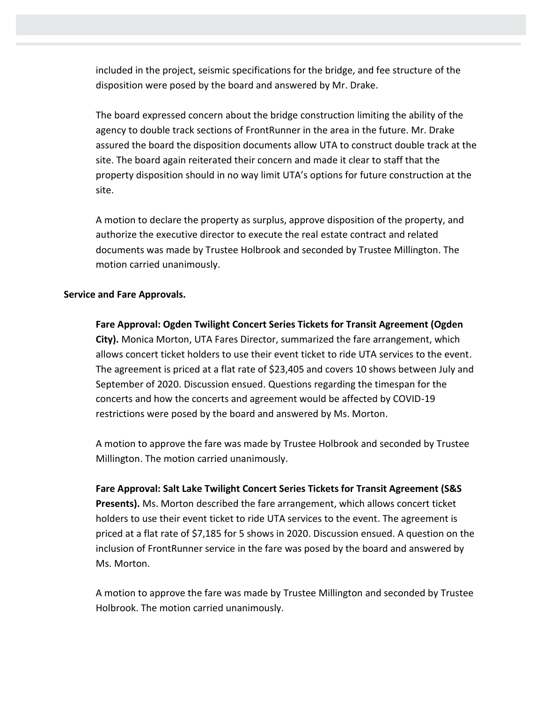included in the project, seismic specifications for the bridge, and fee structure of the disposition were posed by the board and answered by Mr. Drake.

The board expressed concern about the bridge construction limiting the ability of the agency to double track sections of FrontRunner in the area in the future. Mr. Drake assured the board the disposition documents allow UTA to construct double track at the site. The board again reiterated their concern and made it clear to staff that the property disposition should in no way limit UTA's options for future construction at the site.

A motion to declare the property as surplus, approve disposition of the property, and authorize the executive director to execute the real estate contract and related documents was made by Trustee Holbrook and seconded by Trustee Millington. The motion carried unanimously.

### **Service and Fare Approvals.**

**Fare Approval: Ogden Twilight Concert Series Tickets for Transit Agreement (Ogden City).** Monica Morton, UTA Fares Director, summarized the fare arrangement, which allows concert ticket holders to use their event ticket to ride UTA services to the event. The agreement is priced at a flat rate of \$23,405 and covers 10 shows between July and September of 2020. Discussion ensued. Questions regarding the timespan for the concerts and how the concerts and agreement would be affected by COVID-19 restrictions were posed by the board and answered by Ms. Morton.

A motion to approve the fare was made by Trustee Holbrook and seconded by Trustee Millington. The motion carried unanimously.

**Fare Approval: Salt Lake Twilight Concert Series Tickets for Transit Agreement (S&S Presents).** Ms. Morton described the fare arrangement, which allows concert ticket holders to use their event ticket to ride UTA services to the event. The agreement is priced at a flat rate of \$7,185 for 5 shows in 2020. Discussion ensued. A question on the inclusion of FrontRunner service in the fare was posed by the board and answered by Ms. Morton.

A motion to approve the fare was made by Trustee Millington and seconded by Trustee Holbrook. The motion carried unanimously.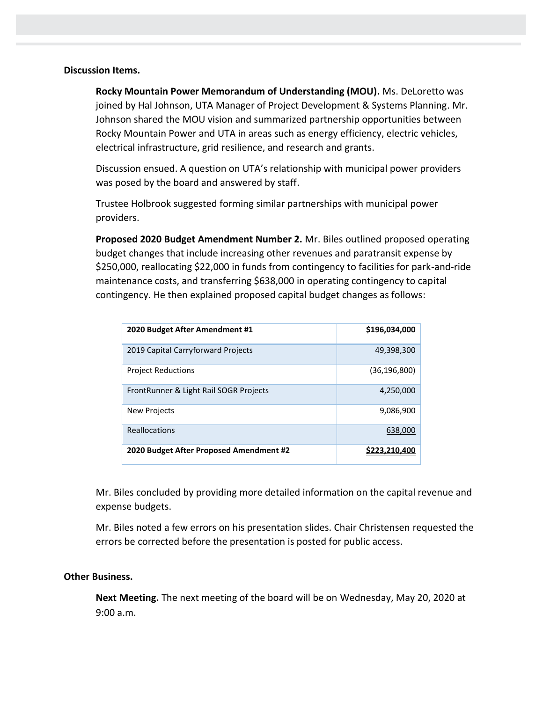#### **Discussion Items.**

**Rocky Mountain Power Memorandum of Understanding (MOU).** Ms. DeLoretto was joined by Hal Johnson, UTA Manager of Project Development & Systems Planning. Mr. Johnson shared the MOU vision and summarized partnership opportunities between Rocky Mountain Power and UTA in areas such as energy efficiency, electric vehicles, electrical infrastructure, grid resilience, and research and grants.

Discussion ensued. A question on UTA's relationship with municipal power providers was posed by the board and answered by staff.

Trustee Holbrook suggested forming similar partnerships with municipal power providers.

**Proposed 2020 Budget Amendment Number 2.** Mr. Biles outlined proposed operating budget changes that include increasing other revenues and paratransit expense by \$250,000, reallocating \$22,000 in funds from contingency to facilities for park-and-ride maintenance costs, and transferring \$638,000 in operating contingency to capital contingency. He then explained proposed capital budget changes as follows:

| 2020 Budget After Amendment #1          | \$196,034,000  |
|-----------------------------------------|----------------|
| 2019 Capital Carryforward Projects      | 49,398,300     |
| <b>Project Reductions</b>               | (36, 196, 800) |
| FrontRunner & Light Rail SOGR Projects  | 4,250,000      |
| <b>New Projects</b>                     | 9,086,900      |
| <b>Reallocations</b>                    | 638,000        |
| 2020 Budget After Proposed Amendment #2 | \$223.210.400  |

Mr. Biles concluded by providing more detailed information on the capital revenue and expense budgets.

Mr. Biles noted a few errors on his presentation slides. Chair Christensen requested the errors be corrected before the presentation is posted for public access.

### **Other Business.**

**Next Meeting.** The next meeting of the board will be on Wednesday, May 20, 2020 at 9:00 a.m.